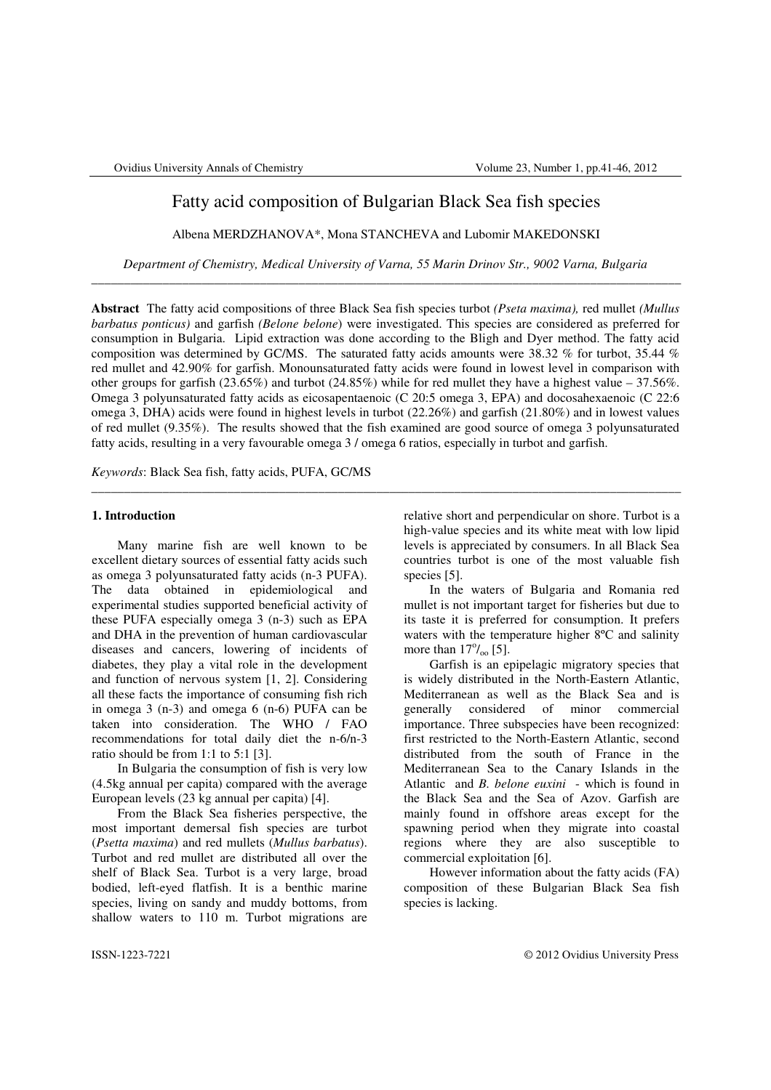# Fatty acid composition of Bulgarian Black Sea fish species

Albena MERDZHANOVA\*, Mona STANCHEVA and Lubomir MAKEDONSKI

*Department of Chemistry, Medical University of Varna, 55 Marin Drinov Str., 9002 Varna, Bulgaria* \_\_\_\_\_\_\_\_\_\_\_\_\_\_\_\_\_\_\_\_\_\_\_\_\_\_\_\_\_\_\_\_\_\_\_\_\_\_\_\_\_\_\_\_\_\_\_\_\_\_\_\_\_\_\_\_\_\_\_\_\_\_\_\_\_\_\_\_\_\_\_\_\_\_\_\_\_\_\_\_\_\_\_\_\_\_\_\_\_\_\_

**Abstract** The fatty acid compositions of three Black Sea fish species turbot *(Pseta maxima),* red mullet *(Mullus barbatus ponticus)* and garfish *(Belone belone*) were investigated. This species are considered as preferred for consumption in Bulgaria. Lipid extraction was done according to the Bligh and Dyer method. The fatty acid composition was determined by GC/MS. The saturated fatty acids amounts were 38.32 % for turbot, 35.44 % red mullet and 42.90% for garfish. Monounsaturated fatty acids were found in lowest level in comparison with other groups for garfish (23.65%) and turbot (24.85%) while for red mullet they have a highest value – 37.56%. Omega 3 polyunsaturated fatty acids as eicosapentaenoic (C 20:5 omega 3, EPA) and docosahexaenoic (C 22:6 omega 3, DHA) acids were found in highest levels in turbot (22.26%) and garfish (21.80%) and in lowest values of red mullet (9.35%). The results showed that the fish examined are good source of omega 3 polyunsaturated fatty acids, resulting in a very favourable omega 3 / omega 6 ratios, especially in turbot and garfish.

\_\_\_\_\_\_\_\_\_\_\_\_\_\_\_\_\_\_\_\_\_\_\_\_\_\_\_\_\_\_\_\_\_\_\_\_\_\_\_\_\_\_\_\_\_\_\_\_\_\_\_\_\_\_\_\_\_\_\_\_\_\_\_\_\_\_\_\_\_\_\_\_\_\_\_\_\_\_\_\_\_\_\_\_\_\_\_\_\_\_\_

*Keywords*: Black Sea fish, fatty acids, PUFA, GC/MS

# **1. Introduction**

Many marine fish are well known to be excellent dietary sources of essential fatty acids such as omega 3 polyunsaturated fatty acids (n-3 PUFA). The data obtained in epidemiological and experimental studies supported beneficial activity of these PUFA especially omega 3 (n-3) such as EPA and DHA in the prevention of human cardiovascular diseases and cancers, lowering of incidents of diabetes, they play a vital role in the development and function of nervous system [1, 2]. Considering all these facts the importance of consuming fish rich in omega 3 (n-3) and omega 6 (n-6) PUFA can be taken into consideration. The WHO / FAO recommendations for total daily diet the n-6/n-3 ratio should be from 1:1 to 5:1 [3].

In Bulgaria the consumption of fish is very low (4.5kg annual per capita) compared with the average European levels (23 kg annual per capita) [4].

From the Black Sea fisheries perspective, the most important demersal fish species are turbot (*Psetta maxima*) and red mullets (*Mullus barbatus*). Turbot and red mullet are distributed all over the shelf of Black Sea. Turbot is a very large, broad bodied, left-eyed flatfish. It is a benthic marine species, living on sandy and muddy bottoms, from shallow waters to 110 m. Turbot migrations are relative short and perpendicular on shore. Turbot is a high-value species and its white meat with low lipid levels is appreciated by consumers. In all Black Sea countries turbot is one of the most valuable fish species [5].

In the waters of Bulgaria and Romania red mullet is not important target for fisheries but due to its taste it is preferred for consumption. It prefers waters with the temperature higher  $8^{\circ}$ C and salinity more than  $17\%$ <sub>oo</sub> [5].

Garfish is an epipelagic migratory species that is widely distributed in the North-Eastern Atlantic, Mediterranean as well as the Black Sea and is generally considered of minor commercial importance. Three subspecies have been recognized: first restricted to the North-Eastern Atlantic, second distributed from the south of France in the Mediterranean Sea to the Canary Islands in the Atlantic and *B. belone euxini* - which is found in the Black Sea and the Sea of Azov. Garfish are mainly found in offshore areas except for the spawning period when they migrate into coastal regions where they are also susceptible to commercial exploitation [6].

However information about the fatty acids (FA) composition of these Bulgarian Black Sea fish species is lacking.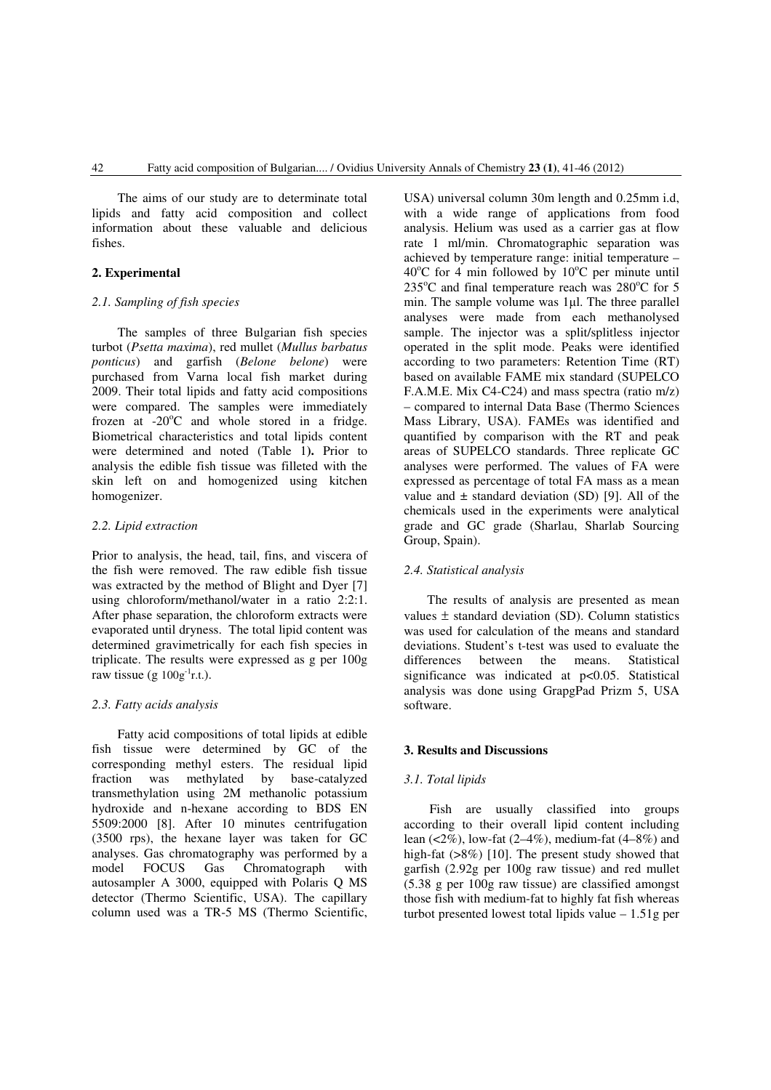The aims of our study are to determinate total lipids and fatty acid composition and collect information about these valuable and delicious fishes.

# **2. Experimental**

## *2.1. Sampling of fish species*

The samples of three Bulgarian fish species turbot (*Psetta maxima*), red mullet (*Mullus barbatus ponticus*) and garfish (*Belone belone*) were purchased from Varna local fish market during 2009. Their total lipids and fatty acid compositions were compared. The samples were immediately frozen at  $-20^{\circ}$ C and whole stored in a fridge. Biometrical characteristics and total lipids content were determined and noted (Table 1**).** Prior to analysis the edible fish tissue was filleted with the skin left on and homogenized using kitchen homogenizer.

## *2.2. Lipid extraction*

Prior to analysis, the head, tail, fins, and viscera of the fish were removed. The raw edible fish tissue was extracted by the method of Blight and Dyer [7] using chloroform/methanol/water in a ratio 2:2:1. After phase separation, the chloroform extracts were evaporated until dryness. The total lipid content was determined gravimetrically for each fish species in triplicate. The results were expressed as g per 100g raw tissue (g  $100g^{-1}$ r.t.).

### *2.3. Fatty acids analysis*

Fatty acid compositions of total lipids at edible fish tissue were determined by GC of the corresponding methyl esters. The residual lipid fraction was methylated by base-catalyzed transmethylation using 2M methanolic potassium hydroxide and n-hexane according to BDS EN 5509:2000 [8]. After 10 minutes centrifugation (3500 rps), the hexane layer was taken for GC analyses. Gas chromatography was performed by a model FOCUS Gas Chromatograph with autosampler A 3000, equipped with Polaris Q MS detector (Thermo Scientific, USA). The capillary column used was a TR-5 MS (Thermo Scientific, USA) universal column 30m length and 0.25mm i.d, with a wide range of applications from food analysis. Helium was used as a carrier gas at flow rate 1 ml/min. Chromatographic separation was achieved by temperature range: initial temperature –  $40^{\circ}$ C for 4 min followed by  $10^{\circ}$ C per minute until  $235^{\circ}$ C and final temperature reach was  $280^{\circ}$ C for 5 min. The sample volume was 1µl. The three parallel analyses were made from each methanolysed sample. The injector was a split/splitless injector operated in the split mode. Peaks were identified according to two parameters: Retention Time (RT) based on available FAME mix standard (SUPELCO F.A.M.E. Mix C4-C24) and mass spectra (ratio m/z) – compared to internal Data Base (Thermo Sciences Mass Library, USA). FAMEs was identified and quantified by comparison with the RT and peak areas of SUPELCO standards. Three replicate GC analyses were performed. The values of FA were expressed as percentage of total FA mass as a mean value and  $\pm$  standard deviation (SD) [9]. All of the chemicals used in the experiments were analytical grade and GC grade (Sharlau, Sharlab Sourcing Group, Spain).

# *2.4. Statistical analysis*

The results of analysis are presented as mean values  $\pm$  standard deviation (SD). Column statistics was used for calculation of the means and standard deviations. Student's t-test was used to evaluate the differences between the means. Statistical significance was indicated at p<0.05. Statistical analysis was done using GrapgPad Prizm 5, USA software.

#### **3. Results and Discussions**

#### *3.1. Total lipids*

Fish are usually classified into groups according to their overall lipid content including lean  $(2\%)$ , low-fat  $(2-4\%)$ , medium-fat  $(4-8\%)$  and high-fat (>8%) [10]. The present study showed that garfish (2.92g per 100g raw tissue) and red mullet (5.38 g per 100g raw tissue) are classified amongst those fish with medium-fat to highly fat fish whereas turbot presented lowest total lipids value  $-1.51g$  per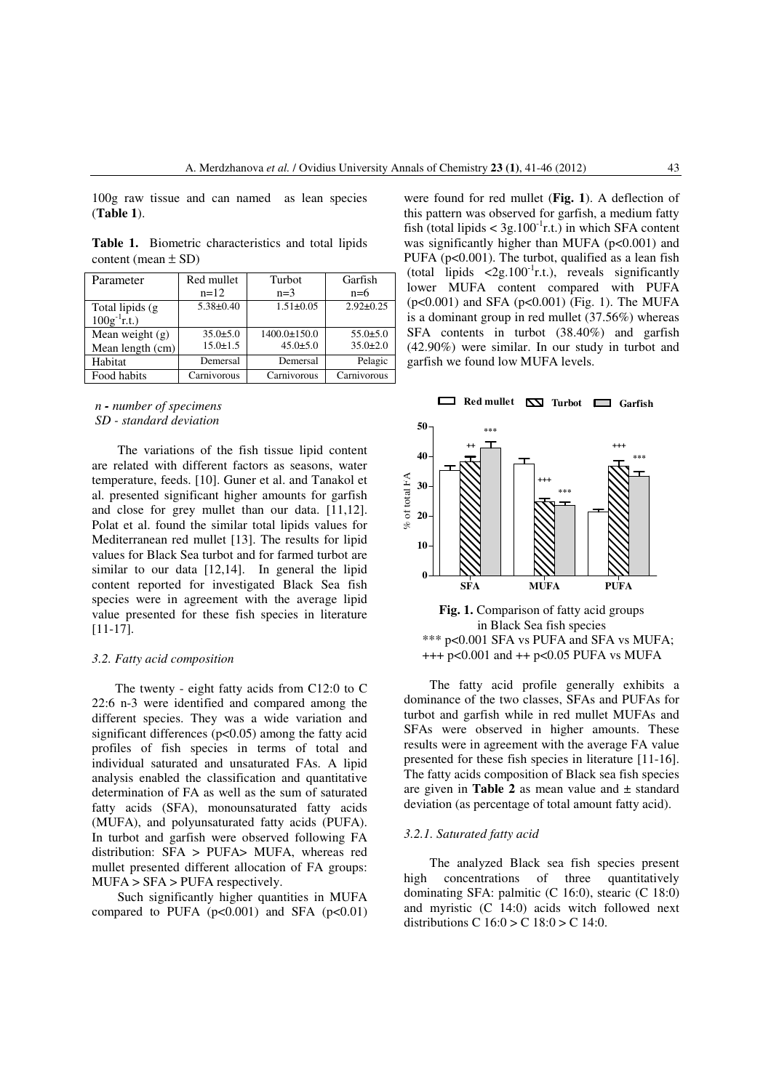100g raw tissue and can named as lean species (**Table 1**).

**Table 1.** Biometric characteristics and total lipids content (mean  $\pm$  SD)

| Parameter          | Red mullet      | Turbot             | Garfish         |  |
|--------------------|-----------------|--------------------|-----------------|--|
|                    | $n=12$          | $n=3$              | $n=6$           |  |
| Total lipids (g)   | $5.38 \pm 0.40$ | $1.51 \pm 0.05$    | $2.92 \pm 0.25$ |  |
| $100g^{-1}$ r.t.)  |                 |                    |                 |  |
| Mean weight $(g)$  | $35.0 \pm 5.0$  | $1400.0 \pm 150.0$ | $55.0{\pm}5.0$  |  |
| Mean length $(cm)$ | $15.0 \pm 1.5$  | $45.0 \pm 5.0$     | $35.0 \pm 2.0$  |  |
| Habitat            | Demersal        | Demersal           | Pelagic         |  |
| Food habits        | Carnivorous     | Carnivorous        | Carnivorous     |  |

### *n - number of specimens SD - standard deviation*

The variations of the fish tissue lipid content are related with different factors as seasons, water temperature, feeds. [10]. Guner et al. and Tanakol et al. presented significant higher amounts for garfish and close for grey mullet than our data. [11,12]. Polat et al. found the similar total lipids values for Mediterranean red mullet [13]. The results for lipid values for Black Sea turbot and for farmed turbot are similar to our data [12,14]. In general the lipid content reported for investigated Black Sea fish species were in agreement with the average lipid value presented for these fish species in literature [11-17].

# *3.2. Fatty acid composition*

The twenty - eight fatty acids from C12:0 to C 22:6 n-3 were identified and compared among the different species. They was a wide variation and significant differences  $(p<0.05)$  among the fatty acid profiles of fish species in terms of total and individual saturated and unsaturated FAs. A lipid analysis enabled the classification and quantitative determination of FA as well as the sum of saturated fatty acids (SFA), monounsaturated fatty acids (MUFA), and polyunsaturated fatty acids (PUFA). In turbot and garfish were observed following FA distribution: SFA > PUFA> MUFA, whereas red mullet presented different allocation of FA groups: MUFA > SFA > PUFA respectively.

Such significantly higher quantities in MUFA compared to PUFA  $(p<0.001)$  and SFA  $(p<0.01)$  were found for red mullet (**Fig. 1**). A deflection of this pattern was observed for garfish, a medium fatty fish (total lipids  $<$  3g.100<sup>-1</sup>r.t.) in which SFA content was significantly higher than MUFA  $(p<0.001)$  and PUFA ( $p<0.001$ ). The turbot, qualified as a lean fish (total lipids  $\langle 2g.100^{\circ}$  r.t.), reveals significantly lower MUFA content compared with PUFA (p<0.001) and SFA (p<0.001) (Fig. 1). The MUFA is a dominant group in red mullet (37.56%) whereas SFA contents in turbot (38.40%) and garfish (42.90%) were similar. In our study in turbot and garfish we found low MUFA levels.





The fatty acid profile generally exhibits a dominance of the two classes, SFAs and PUFAs for turbot and garfish while in red mullet MUFAs and SFAs were observed in higher amounts. These results were in agreement with the average FA value presented for these fish species in literature [11-16]. The fatty acids composition of Black sea fish species are given in **Table 2** as mean value and  $\pm$  standard deviation (as percentage of total amount fatty acid).

#### *3.2.1. Saturated fatty acid*

The analyzed Black sea fish species present high concentrations of three quantitatively dominating SFA: palmitic (C 16:0), stearic (C 18:0) and myristic (C 14:0) acids witch followed next distributions C  $16:0 > C$   $18:0 > C$   $14:0$ .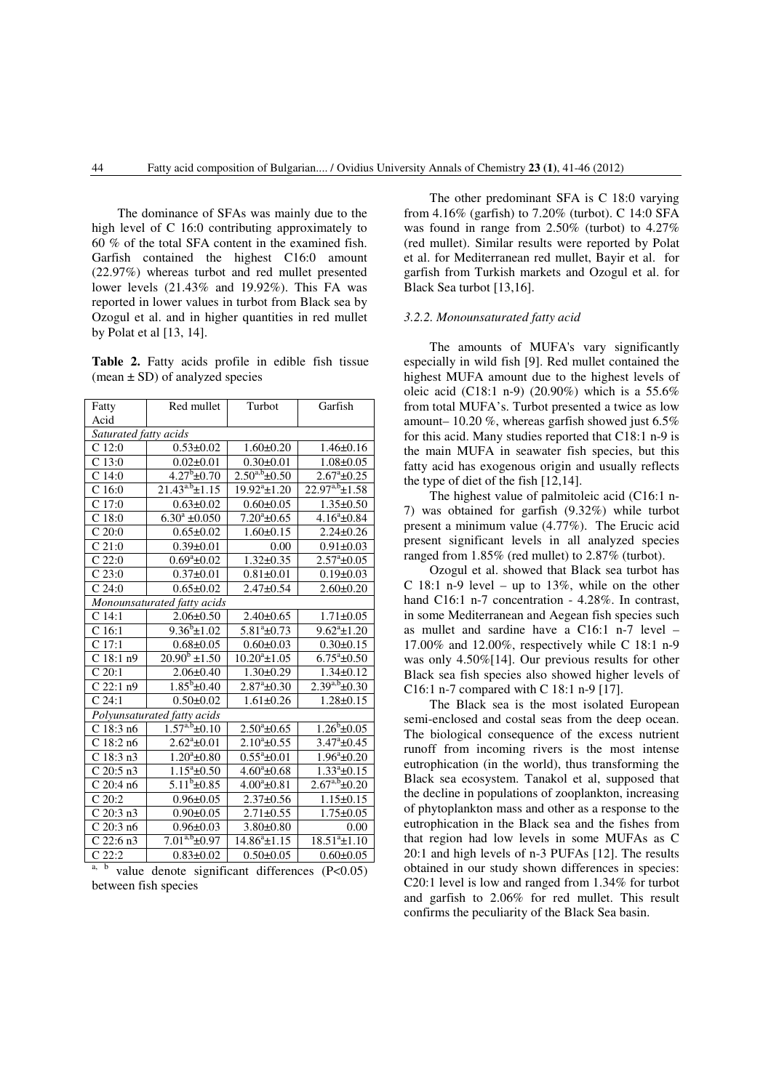The dominance of SFAs was mainly due to the high level of C 16:0 contributing approximately to 60 % of the total SFA content in the examined fish. Garfish contained the highest C16:0 amount (22.97%) whereas turbot and red mullet presented lower levels (21.43% and 19.92%). This FA was reported in lower values in turbot from Black sea by Ozogul et al. and in higher quantities in red mullet by Polat et al [13, 14].

**Table 2.** Fatty acids profile in edible fish tissue  $(mean \pm SD)$  of analyzed species

| Fatty                       | Red mullet                           | Turbot               | Garfish                         |  |  |
|-----------------------------|--------------------------------------|----------------------|---------------------------------|--|--|
| Acid                        |                                      |                      |                                 |  |  |
| Saturated fatty acids       |                                      |                      |                                 |  |  |
| $C$ 12:0                    | $0.53 \pm 0.02$                      | $1.60 \pm 0.20$      | $1.46 \pm 0.16$                 |  |  |
| C <sub>13:0</sub>           | $0.02 \pm 0.01$                      | $0.30 \pm 0.01$      | $1.08 \pm 0.05$                 |  |  |
| $C$ 14:0                    | $4.27^b \pm 0.70$                    | $2.50^{a,b}$ ±0.50   | $2.67^{\circ}$ ±0.25            |  |  |
| C <sub>16:0</sub>           | $21.43^{a.b} \pm 1.15$               | $19.92^{a}$ ±1.20    | $22.97^{a,b} \pm 1.58$          |  |  |
| C 17:0                      | $0.63 \pm 0.02$                      | $0.60 \pm 0.05$      | $1.35 \pm 0.50$                 |  |  |
| C18:0                       | $6.30^a \pm 0.050$                   | $7.20^a \pm 0.65$    | $4.16^a \pm 0.84$               |  |  |
| $C$ 20:0                    | $0.65 \pm 0.02$                      | $1.60 \pm 0.15$      | $2.24 \pm 0.26$                 |  |  |
| C21:0                       | $0.39 + 0.01$                        | 0.00                 | $0.91 \pm 0.03$                 |  |  |
| C22:0                       | $\frac{0.69^{\circ} \pm 0.02}{0.02}$ | $1.32 \pm 0.35$      | $2.57^{\mathrm{a}}\text{±}0.05$ |  |  |
| $C$ 23:0                    | $0.37 \pm 0.01$                      | $0.81 \pm 0.01$      | $0.19 \pm 0.03$                 |  |  |
| C24:0                       | $0.65 \pm 0.02$                      | $2.47 + 0.54$        | $2.60 \pm 0.20$                 |  |  |
| Monounsaturated fatty acids |                                      |                      |                                 |  |  |
| C <sub>14:1</sub>           | $2.06 \pm 0.50$                      | $2.40 \pm 0.65$      | $1.71 \pm 0.05$                 |  |  |
| $\overline{C}$ 16:1         | $9.36^b \pm 1.02$                    | $5.81^a \pm 0.73$    | $9.62^a \pm 1.20$               |  |  |
| $C$ 17:1                    | $0.68 + 0.05$                        | $0.60 \pm 0.03$      | $0.30 \pm 0.15$                 |  |  |
| C18:1n9                     | $20.90^b \pm 1.50$                   | $10.20^a \pm 1.05$   | $6.75^{\mathrm{a}}\text{+}0.50$ |  |  |
| C20:1                       | $2.06 \pm 0.40$                      | $1.30 \pm 0.29$      | $1.34 \pm 0.12$                 |  |  |
| $\overline{C}$ 22:1 n9      | $1.85^b \pm 0.40$                    | $2.87^{\circ}$ ±0.30 | $2.39^{a,b} \pm 0.30$           |  |  |
| C <sub>24:1</sub>           | $0.50 + 0.02$                        | $1.61 \pm 0.26$      | $1.28 \pm 0.15$                 |  |  |
|                             | Polyunsaturated fatty acids          |                      |                                 |  |  |
| C18:3n6                     | $1.57^{a,b}$ ±0.10                   | $2.50^{\circ}$ ±0.65 | $1.26^{b} \pm 0.05$             |  |  |
| $\overline{C}$ 18:2 n6      | $2.62^{\circ}$ ±0.01                 | $2.10^{\circ}$ ±0.55 | $3.47^{\circ}$ ±0.45            |  |  |
| $C$ 18:3 n3                 | $1.20^a \pm 0.80$                    | $0.55^{\circ}$ ±0.01 | $1.96^a \pm 0.20$               |  |  |
| $C$ 20:5 n3                 | $1.15^a \pm 0.50$                    | $4.60^{\circ}$ ±0.68 | $1.33^a \pm 0.15$               |  |  |
| C 20:4 n6                   | $5.11^{b} \pm 0.85$                  | $4.00^{\circ}$ ±0.81 | $2.67^{a,b}$ ±0.20              |  |  |
| $\overline{C}$ 20:2         | $0.96 \pm 0.05$                      | $2.37 \pm 0.56$      | $1.15 \pm 0.15$                 |  |  |
| $C$ 20:3 n3                 | $0.90 \pm 0.05$                      | $2.71 \pm 0.55$      | $1.75 \pm 0.05$                 |  |  |
| $C$ 20:3 n6                 | $0.96 \pm 0.03$                      | $3.80 \pm 0.80$      | 0.00                            |  |  |
| C 22:6 n3                   | $7.01^{a,b}$ ±0.97                   | $14.86^a \pm 1.15$   | $18.51^{a} \pm 1.10$            |  |  |
| $C$ 22:2                    | $0.83 \pm 0.02$                      | $0.50 \pm 0.05$      | $0.60 \pm 0.05$                 |  |  |

 $a, b$  value denote significant differences (P<0.05) between fish species

The other predominant SFA is C 18:0 varying from 4.16% (garfish) to 7.20% (turbot). C 14:0 SFA was found in range from 2.50% (turbot) to 4.27% (red mullet). Similar results were reported by Polat et al. for Mediterranean red mullet, Bayir et al. for garfish from Turkish markets and Ozogul et al. for Black Sea turbot [13,16].

## *3.2.2. Monounsaturated fatty acid*

The amounts of MUFA's vary significantly especially in wild fish [9]. Red mullet contained the highest MUFA amount due to the highest levels of oleic acid (C18:1 n-9) (20.90%) which is a 55.6% from total MUFA's. Turbot presented a twice as low amount– 10.20 %, whereas garfish showed just  $6.5\%$ for this acid. Many studies reported that C18:1 n-9 is the main MUFA in seawater fish species, but this fatty acid has exogenous origin and usually reflects the type of diet of the fish [12,14].

The highest value of palmitoleic acid (C16:1 n-7) was obtained for garfish (9.32%) while turbot present a minimum value (4.77%). The Erucic acid present significant levels in all analyzed species ranged from 1.85% (red mullet) to 2.87% (turbot).

Ozogul et al. showed that Black sea turbot has C 18:1 n-9 level – up to 13%, while on the other hand C16:1 n-7 concentration - 4.28%. In contrast, in some Mediterranean and Aegean fish species such as mullet and sardine have a C16:1 n-7 level – 17.00% and 12.00%, respectively while C 18:1 n-9 was only 4.50%[14]. Our previous results for other Black sea fish species also showed higher levels of C16:1 n-7 compared with C 18:1 n-9 [17].

The Black sea is the most isolated European semi-enclosed and costal seas from the deep ocean. The biological consequence of the excess nutrient runoff from incoming rivers is the most intense eutrophication (in the world), thus transforming the Black sea ecosystem. Tanakol et al, supposed that the decline in populations of zooplankton, increasing of phytoplankton mass and other as a response to the eutrophication in the Black sea and the fishes from that region had low levels in some MUFAs as C 20:1 and high levels of n-3 PUFAs [12]. The results obtained in our study shown differences in species: C20:1 level is low and ranged from 1.34% for turbot and garfish to 2.06% for red mullet. This result confirms the peculiarity of the Black Sea basin.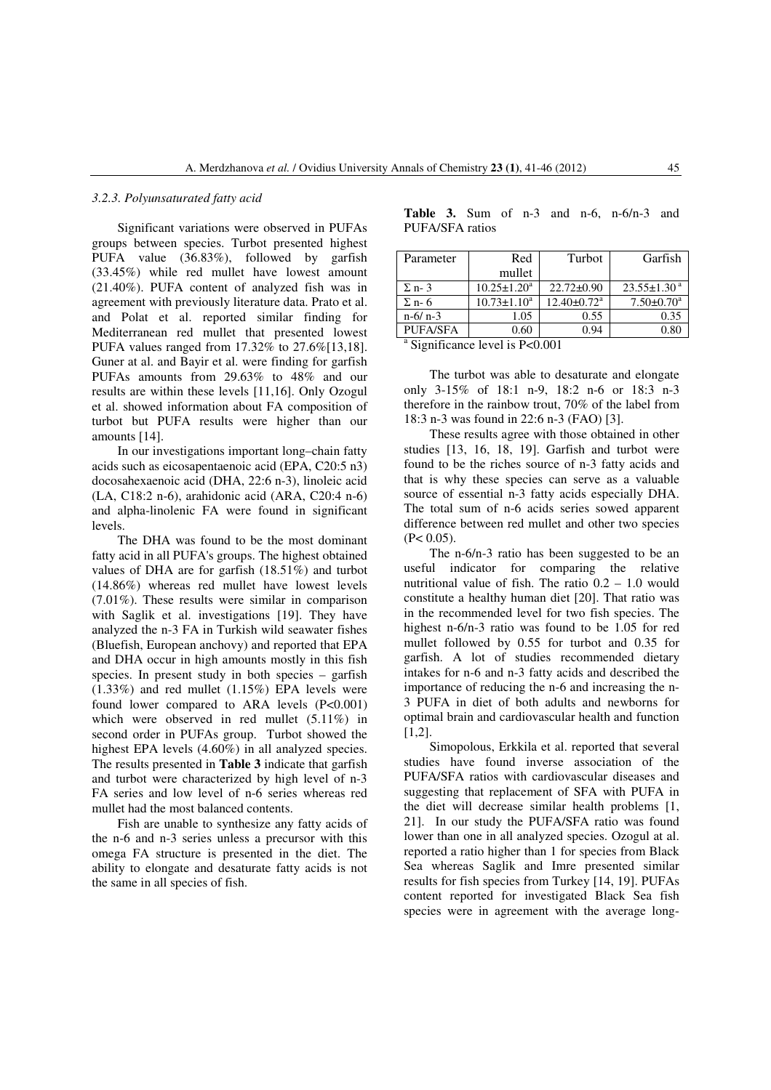#### *3.2.3. Polyunsaturated fatty acid*

Significant variations were observed in PUFAs groups between species. Turbot presented highest PUFA value (36.83%), followed by garfish (33.45%) while red mullet have lowest amount (21.40%). PUFA content of analyzed fish was in agreement with previously literature data. Prato et al. and Polat et al. reported similar finding for Mediterranean red mullet that presented lowest PUFA values ranged from 17.32% to 27.6%[13,18]. Guner at al. and Bayir et al. were finding for garfish PUFAs amounts from 29.63% to 48% and our results are within these levels [11,16]. Only Ozogul et al. showed information about FA composition of turbot but PUFA results were higher than our amounts [14].

In our investigations important long–chain fatty acids such as eicosapentaenoic acid (EPA, C20:5 n3) docosahexaenoic acid (DHA, 22:6 n-3), linoleic acid (LA, C18:2 n-6), arahidonic acid (ARA, C20:4 n-6) and alpha-linolenic FA were found in significant levels.

The DHA was found to be the most dominant fatty acid in all PUFA's groups. The highest obtained values of DHA are for garfish (18.51%) and turbot (14.86%) whereas red mullet have lowest levels (7.01%). These results were similar in comparison with Saglik et al. investigations [19]. They have analyzed the n-3 FA in Turkish wild seawater fishes (Bluefish, European anchovy) and reported that EPA and DHA occur in high amounts mostly in this fish species. In present study in both species – garfish (1.33%) and red mullet (1.15%) EPA levels were found lower compared to ARA levels (P<0.001) which were observed in red mullet  $(5.11\%)$  in second order in PUFAs group. Turbot showed the highest EPA levels (4.60%) in all analyzed species. The results presented in **Table 3** indicate that garfish and turbot were characterized by high level of n-3 FA series and low level of n-6 series whereas red mullet had the most balanced contents.

Fish are unable to synthesize any fatty acids of the n-6 and n-3 series unless a precursor with this omega FA structure is presented in the diet. The ability to elongate and desaturate fatty acids is not the same in all species of fish.

|                 |  |  |  | <b>Table 3.</b> Sum of $n-3$ and $n-6$ , $n-6/n-3$ and |  |
|-----------------|--|--|--|--------------------------------------------------------|--|
| PUFA/SFA ratios |  |  |  |                                                        |  |

| Red                | Turbot                        | Garfish                      |
|--------------------|-------------------------------|------------------------------|
| mullet             |                               |                              |
| $10.25 \pm 1.20^a$ | $22.72 \pm 0.90$              | $23.55 \pm 1.30^{\text{a}}$  |
| $10.73 \pm 1.10^a$ | $12.40 \pm 0.72$ <sup>a</sup> | $7.50 \pm 0.70$ <sup>a</sup> |
| 1.05               | 0.55                          | 0.35                         |
| 0.60               | 0.94                          | $_{0.80}$                    |
|                    |                               |                              |

<sup>a</sup> Significance level is P<0.001

The turbot was able to desaturate and elongate only 3-15% of 18:1 n-9, 18:2 n-6 or 18:3 n-3 therefore in the rainbow trout, 70% of the label from 18:3 n-3 was found in 22:6 n-3 (FAO) [3].

These results agree with those obtained in other studies [13, 16, 18, 19]. Garfish and turbot were found to be the riches source of n-3 fatty acids and that is why these species can serve as a valuable source of essential n-3 fatty acids especially DHA. The total sum of n-6 acids series sowed apparent difference between red mullet and other two species  $(P< 0.05)$ .

The n-6/n-3 ratio has been suggested to be an useful indicator for comparing the relative nutritional value of fish. The ratio  $0.2 - 1.0$  would constitute a healthy human diet [20]. That ratio was in the recommended level for two fish species. The highest n-6/n-3 ratio was found to be 1.05 for red mullet followed by 0.55 for turbot and 0.35 for garfish. A lot of studies recommended dietary intakes for n-6 and n-3 fatty acids and described the importance of reducing the n-6 and increasing the n-3 PUFA in diet of both adults and newborns for optimal brain and cardiovascular health and function [1,2].

Simopolous, Erkkila et al. reported that several studies have found inverse association of the PUFA/SFA ratios with cardiovascular diseases and suggesting that replacement of SFA with PUFA in the diet will decrease similar health problems [1, 21]. In our study the PUFA/SFA ratio was found lower than one in all analyzed species. Ozogul at al. reported a ratio higher than 1 for species from Black Sea whereas Saglik and Imre presented similar results for fish species from Turkey [14, 19]. PUFAs content reported for investigated Black Sea fish species were in agreement with the average long